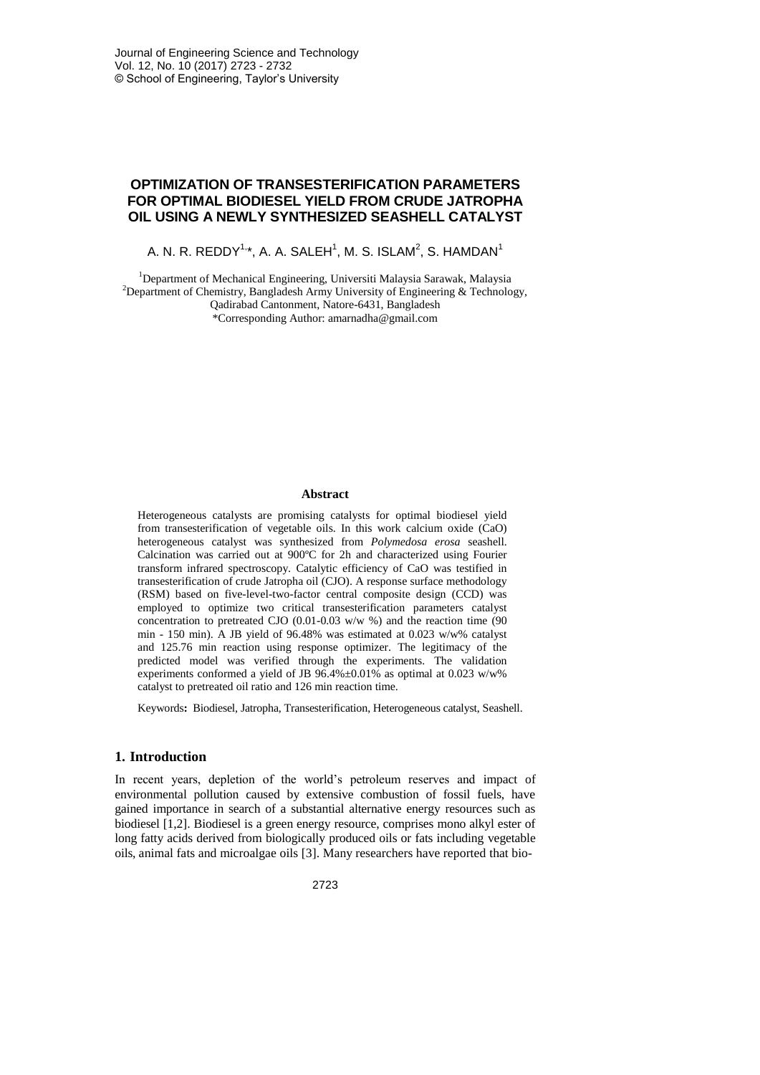# **OPTIMIZATION OF TRANSESTERIFICATION PARAMETERS FOR OPTIMAL BIODIESEL YIELD FROM CRUDE JATROPHA OIL USING A NEWLY SYNTHESIZED SEASHELL CATALYST**

A. N. R. REDDY $^{1,\ast}$ , A. A. SALEH $^{1}$ , M. S. ISLAM $^{2}$ , S. HAMDAN $^{1}$ 

<sup>1</sup>Department of Mechanical Engineering, Universiti Malaysia Sarawak, Malaysia <sup>2</sup>Department of Chemistry, Bangladesh Army University of Engineering  $\&$  Technology, Qadirabad Cantonment, Natore-6431, Bangladesh \*Corresponding Author: amarnadha@gmail.com

#### **Abstract**

Heterogeneous catalysts are promising catalysts for optimal biodiesel yield from transesterification of vegetable oils. In this work calcium oxide (CaO) heterogeneous catalyst was synthesized from *Polymedosa erosa* seashell. Calcination was carried out at 900ºC for 2h and characterized using Fourier transform infrared spectroscopy. Catalytic efficiency of CaO was testified in transesterification of crude Jatropha oil (CJO). A response surface methodology (RSM) based on five-level-two-factor central composite design (CCD) was employed to optimize two critical transesterification parameters catalyst concentration to pretreated CJO (0.01-0.03 w/w %) and the reaction time (90 min - 150 min). A JB yield of 96.48% was estimated at 0.023 w/w% catalyst and 125.76 min reaction using response optimizer. The legitimacy of the predicted model was verified through the experiments. The validation experiments conformed a yield of JB  $96.4\% \pm 0.01\%$  as optimal at 0.023 w/w% catalyst to pretreated oil ratio and 126 min reaction time.

Keywords**:** Biodiesel, Jatropha, Transesterification, Heterogeneous catalyst, Seashell.

### **1. Introduction**

In recent years, depletion of the world's petroleum reserves and impact of environmental pollution caused by extensive combustion of fossil fuels, have gained importance in search of a substantial alternative energy resources such as biodiesel [1,2]. Biodiesel is a green energy resource, comprises mono alkyl ester of long fatty acids derived from biologically produced oils or fats including vegetable oils, animal fats and microalgae oils [3]. Many researchers have reported that bio-

2723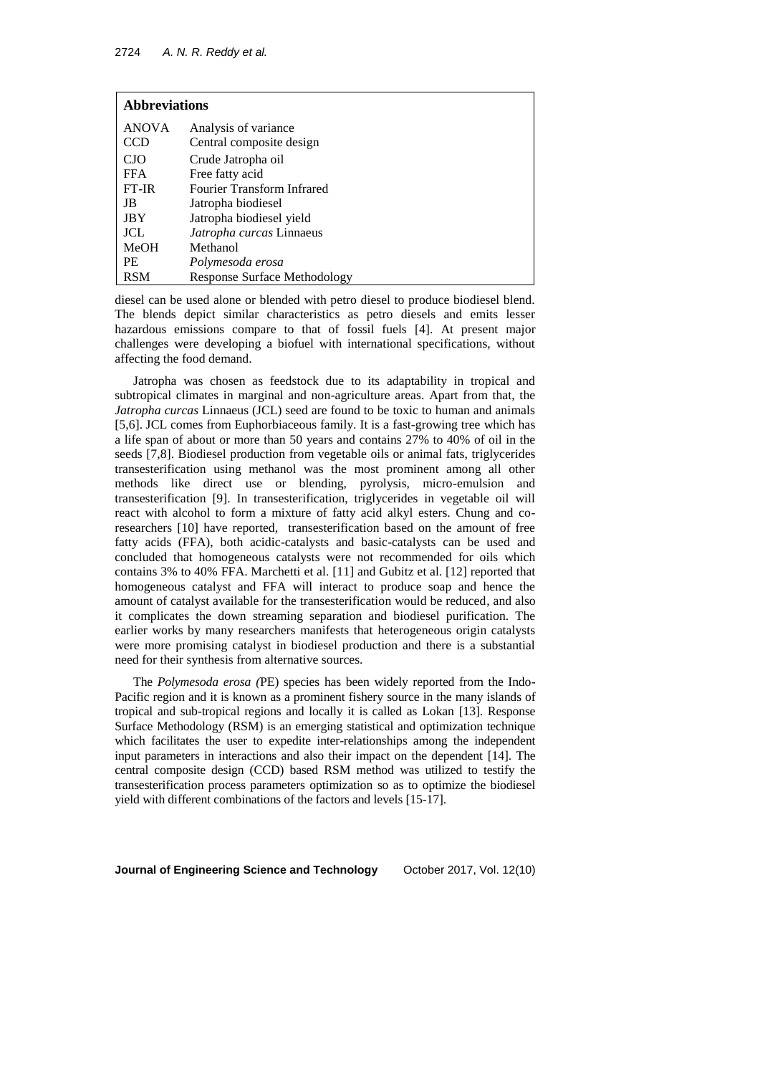| <b>Abbreviations</b> |                                     |  |  |  |
|----------------------|-------------------------------------|--|--|--|
| <b>ANOVA</b>         | Analysis of variance                |  |  |  |
| <b>CCD</b>           | Central composite design            |  |  |  |
| <b>CJO</b>           | Crude Jatropha oil                  |  |  |  |
| <b>FFA</b>           | Free fatty acid                     |  |  |  |
| FT-IR                | <b>Fourier Transform Infrared</b>   |  |  |  |
| JB                   | Jatropha biodiesel                  |  |  |  |
| <b>JBY</b>           | Jatropha biodiesel yield            |  |  |  |
| <b>JCL</b>           | Jatropha curcas Linnaeus            |  |  |  |
| <b>MeOH</b>          | Methanol                            |  |  |  |
| <b>PE</b>            | Polymesoda erosa                    |  |  |  |
| <b>RSM</b>           | <b>Response Surface Methodology</b> |  |  |  |

diesel can be used alone or blended with petro diesel to produce biodiesel blend. The blends depict similar characteristics as petro diesels and emits lesser hazardous emissions compare to that of fossil fuels [4]. At present major challenges were developing a biofuel with international specifications, without affecting the food demand.

Jatropha was chosen as feedstock due to its adaptability in tropical and subtropical climates in marginal and non-agriculture areas. Apart from that, the *Jatropha curcas* Linnaeus (JCL) seed are found to be toxic to human and animals [5,6]. JCL comes from Euphorbiaceous family. It is a fast-growing tree which has a life span of about or more than 50 years and contains 27% to 40% of oil in the seeds [7,8]. Biodiesel production from vegetable oils or animal fats, triglycerides transesterification using methanol was the most prominent among all other methods like direct use or blending, pyrolysis, micro-emulsion and transesterification [9]. In transesterification, triglycerides in vegetable oil will react with alcohol to form a mixture of fatty acid alkyl esters. Chung and coresearchers [10] have reported, transesterification based on the amount of free fatty acids (FFA), both acidic-catalysts and basic-catalysts can be used and concluded that homogeneous catalysts were not recommended for oils which contains 3% to 40% FFA. Marchetti et al. [11] and Gubitz et al. [12] reported that homogeneous catalyst and FFA will interact to produce soap and hence the amount of catalyst available for the transesterification would be reduced, and also it complicates the down streaming separation and biodiesel purification. The earlier works by many researchers manifests that heterogeneous origin catalysts were more promising catalyst in biodiesel production and there is a substantial need for their synthesis from alternative sources.

The *Polymesoda erosa (*PE) species has been widely reported from the Indo-Pacific region and it is known as a prominent fishery source in the many islands of tropical and sub-tropical regions and locally it is called as Lokan [13]. Response Surface Methodology (RSM) is an emerging statistical and optimization technique which facilitates the user to expedite inter-relationships among the independent input parameters in interactions and also their impact on the dependent [14]. The central composite design (CCD) based RSM method was utilized to testify the transesterification process parameters optimization so as to optimize the biodiesel yield with different combinations of the factors and levels [15-17].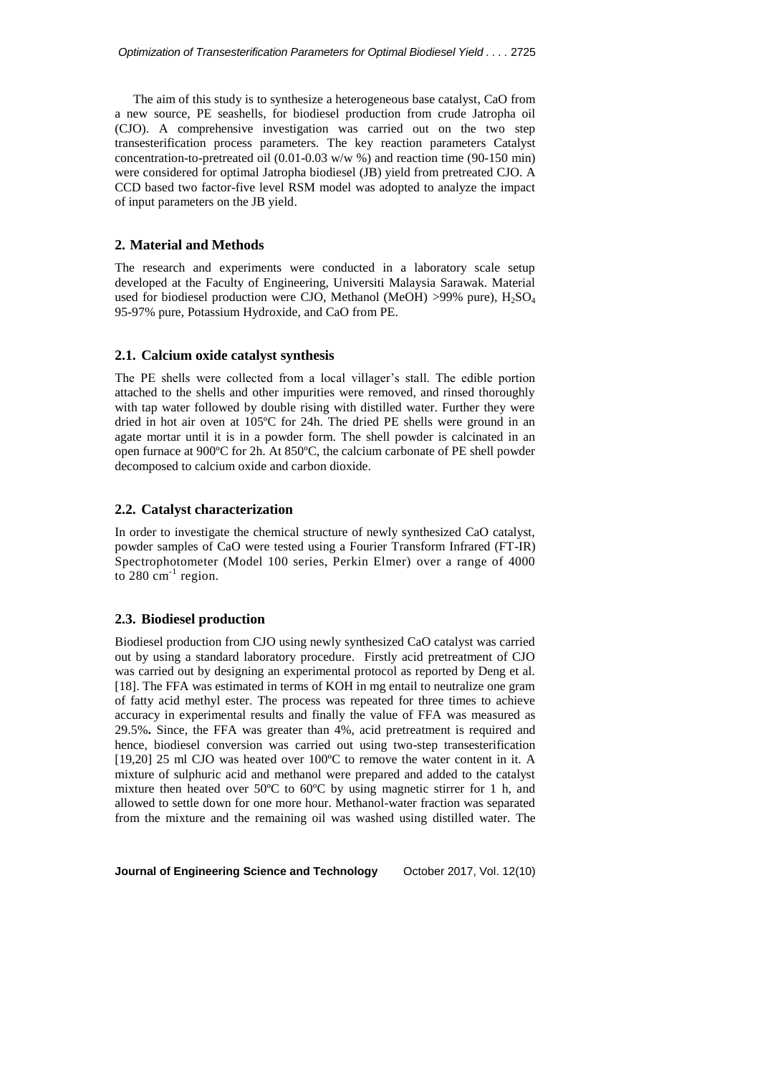The aim of this study is to synthesize a heterogeneous base catalyst, CaO from a new source, PE seashells, for biodiesel production from crude Jatropha oil (CJO). A comprehensive investigation was carried out on the two step transesterification process parameters. The key reaction parameters Catalyst concentration-to-pretreated oil (0.01-0.03 w/w %) and reaction time (90-150 min) were considered for optimal Jatropha biodiesel (JB) yield from pretreated CJO. A CCD based two factor-five level RSM model was adopted to analyze the impact of input parameters on the JB yield.

## **2. Material and Methods**

The research and experiments were conducted in a laboratory scale setup developed at the Faculty of Engineering, Universiti Malaysia Sarawak. Material used for biodiesel production were CJO, Methanol (MeOH)  $>99\%$  pure),  $H_2SO_4$ 95-97% pure, Potassium Hydroxide, and CaO from PE.

## **2.1. Calcium oxide catalyst synthesis**

The PE shells were collected from a local villager's stall. The edible portion attached to the shells and other impurities were removed, and rinsed thoroughly with tap water followed by double rising with distilled water. Further they were dried in hot air oven at 105ºC for 24h. The dried PE shells were ground in an agate mortar until it is in a powder form. The shell powder is calcinated in an open furnace at 900ºC for 2h. At 850ºC, the calcium carbonate of PE shell powder decomposed to calcium oxide and carbon dioxide.

## **2.2. Catalyst characterization**

In order to investigate the chemical structure of newly synthesized CaO catalyst, powder samples of CaO were tested using a Fourier Transform Infrared (FT-IR) Spectrophotometer (Model 100 series, Perkin Elmer) over a range of 4000 to  $280 \text{ cm}^{-1}$  region.

## **2.3. Biodiesel production**

Biodiesel production from CJO using newly synthesized CaO catalyst was carried out by using a standard laboratory procedure. Firstly acid pretreatment of CJO was carried out by designing an experimental protocol as reported by Deng et al. [18]. The FFA was estimated in terms of KOH in mg entail to neutralize one gram of fatty acid methyl ester. The process was repeated for three times to achieve accuracy in experimental results and finally the value of FFA was measured as 29.5%**.** Since, the FFA was greater than 4%, acid pretreatment is required and hence, biodiesel conversion was carried out using two-step transesterification [19,20] 25 ml CJO was heated over 100ºC to remove the water content in it. A mixture of sulphuric acid and methanol were prepared and added to the catalyst mixture then heated over 50ºC to 60ºC by using magnetic stirrer for 1 h, and allowed to settle down for one more hour. Methanol-water fraction was separated from the mixture and the remaining oil was washed using distilled water. The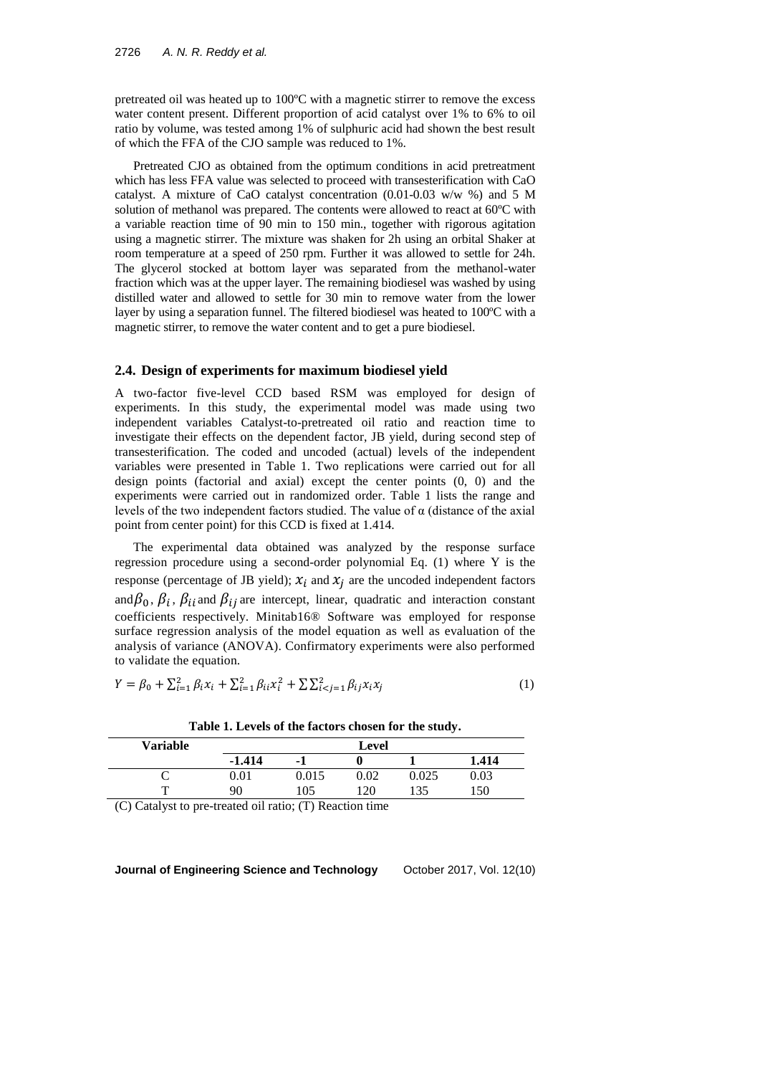pretreated oil was heated up to 100ºC with a magnetic stirrer to remove the excess water content present. Different proportion of acid catalyst over 1% to 6% to oil ratio by volume, was tested among 1% of sulphuric acid had shown the best result of which the FFA of the CJO sample was reduced to 1%.

Pretreated CJO as obtained from the optimum conditions in acid pretreatment which has less FFA value was selected to proceed with transesterification with CaO catalyst. A mixture of CaO catalyst concentration (0.01-0.03 w/w %) and 5 M solution of methanol was prepared. The contents were allowed to react at 60ºC with a variable reaction time of 90 min to 150 min., together with rigorous agitation using a magnetic stirrer. The mixture was shaken for 2h using an orbital Shaker at room temperature at a speed of 250 rpm. Further it was allowed to settle for 24h. The glycerol stocked at bottom layer was separated from the methanol-water fraction which was at the upper layer. The remaining biodiesel was washed by using distilled water and allowed to settle for 30 min to remove water from the lower layer by using a separation funnel. The filtered biodiesel was heated to 100ºC with a magnetic stirrer, to remove the water content and to get a pure biodiesel.

## **2.4. Design of experiments for maximum biodiesel yield**

A two-factor five-level CCD based RSM was employed for design of experiments. In this study, the experimental model was made using two independent variables Catalyst-to-pretreated oil ratio and reaction time to investigate their effects on the dependent factor, JB yield, during second step of transesterification. The coded and uncoded (actual) levels of the independent variables were presented in Table 1. Two replications were carried out for all design points (factorial and axial) except the center points (0, 0) and the experiments were carried out in randomized order. Table 1 lists the range and levels of the two independent factors studied. The value of  $\alpha$  (distance of the axial point from center point) for this CCD is fixed at 1.414.

The experimental data obtained was analyzed by the response surface regression procedure using a second-order polynomial Eq. (1) where Y is the response (percentage of JB yield);  $x_i$  and  $x_j$  are the uncoded independent factors and  $\beta_0$ ,  $\beta_i$ ,  $\beta_{ii}$  and  $\beta_{ij}$  are intercept, linear, quadratic and interaction constant coefficients respectively. Minitab16® Software was employed for response surface regression analysis of the model equation as well as evaluation of the analysis of variance (ANOVA). Confirmatory experiments were also performed to validate the equation.

$$
Y = \beta_0 + \sum_{i=1}^2 \beta_i x_i + \sum_{i=1}^2 \beta_{ii} x_i^2 + \sum_{i \le j} \sum_{i \le j}^2 \beta_{ij} x_i x_j \tag{1}
$$

| <b>Variable</b> |            |                          | Level |       |       |
|-----------------|------------|--------------------------|-------|-------|-------|
|                 | $-1.414$   | $\overline{\phantom{a}}$ |       |       | 1.414 |
|                 | $\rm 0.01$ | 0.015                    | 0.02  | 0.025 | 0.03  |
| $\mathbf{r}$    | 90         | 105                      | 120   | 135   | 150   |

**Table 1. Levels of the factors chosen for the study.**

(C) Catalyst to pre-treated oil ratio; (T) Reaction time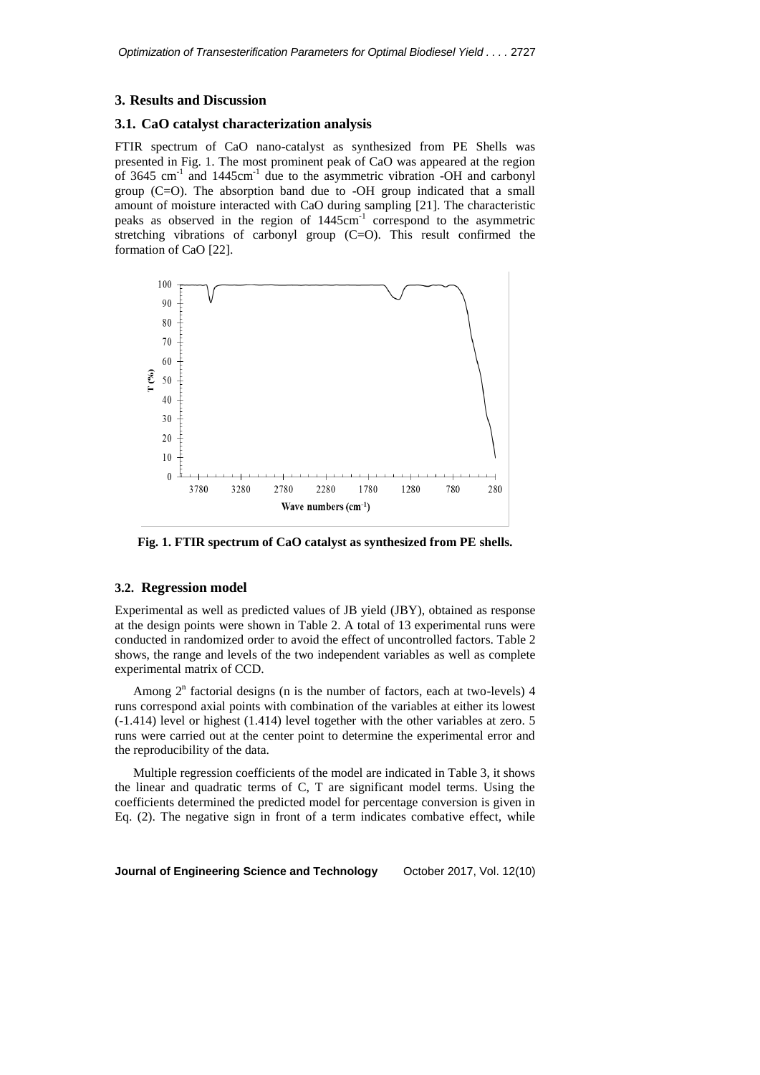#### **3. Results and Discussion**

## **3.1. CaO catalyst characterization analysis**

FTIR spectrum of CaO nano-catalyst as synthesized from PE Shells was presented in Fig. 1. The most prominent peak of CaO was appeared at the region of 3645  $\text{cm}^{-1}$  and 1445 $\text{cm}^{-1}$  due to the asymmetric vibration -OH and carbonyl group (C=O). The absorption band due to -OH group indicated that a small amount of moisture interacted with CaO during sampling [21]. The characteristic peaks as observed in the region of 1445cm<sup>-1</sup> correspond to the asymmetric stretching vibrations of carbonyl group (C=O). This result confirmed the formation of CaO [22].



**Fig. 1. FTIR spectrum of CaO catalyst as synthesized from PE shells.**

#### **3.2. Regression model**

Experimental as well as predicted values of JB yield (JBY), obtained as response at the design points were shown in Table 2. A total of 13 experimental runs were conducted in randomized order to avoid the effect of uncontrolled factors. Table 2 shows, the range and levels of the two independent variables as well as complete experimental matrix of CCD.

Among  $2<sup>n</sup>$  factorial designs (n is the number of factors, each at two-levels) 4 runs correspond axial points with combination of the variables at either its lowest (-1.414) level or highest (1.414) level together with the other variables at zero. 5 runs were carried out at the center point to determine the experimental error and the reproducibility of the data.

Multiple regression coefficients of the model are indicated in Table 3, it shows the linear and quadratic terms of C, T are significant model terms. Using the coefficients determined the predicted model for percentage conversion is given in Eq. (2). The negative sign in front of a term indicates combative effect, while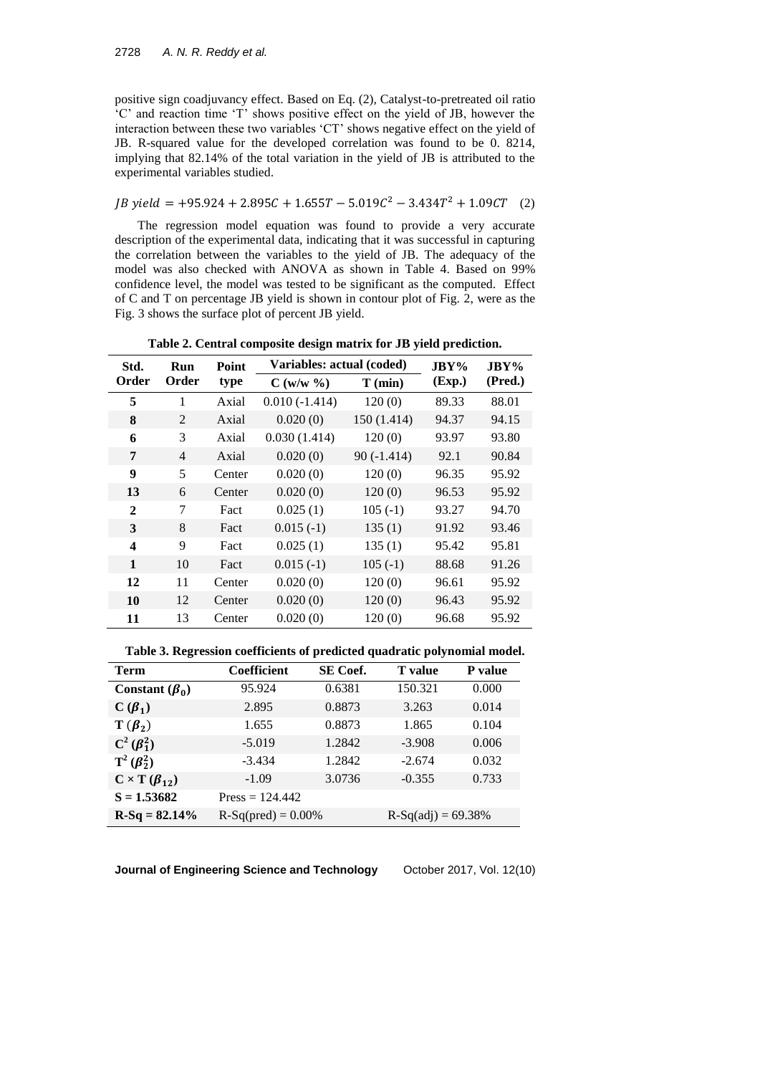positive sign coadjuvancy effect. Based on Eq. (2), Catalyst-to-pretreated oil ratio 'C' and reaction time 'T' shows positive effect on the yield of JB, however the interaction between these two variables 'CT' shows negative effect on the yield of JB. R-squared value for the developed correlation was found to be 0. 8214, implying that 82.14% of the total variation in the yield of JB is attributed to the experimental variables studied.

## $JB$  yield =  $+95.924 + 2.895C + 1.655T - 5.019C^2 - 3.434T^2 + 1.09CT$  (2)

The regression model equation was found to provide a very accurate description of the experimental data, indicating that it was successful in capturing the correlation between the variables to the yield of JB. The adequacy of the model was also checked with ANOVA as shown in Table 4. Based on 99% confidence level, the model was tested to be significant as the computed. Effect of C and T on percentage JB yield is shown in contour plot of Fig. 2, were as the Fig. 3 shows the surface plot of percent JB yield.

| Std.             | Run            | Point  | Variables: actual (coded) | $JBY\%$      | $JBY\%$ |         |
|------------------|----------------|--------|---------------------------|--------------|---------|---------|
| Order<br>Order   |                | type   | $C(w/w \ \%)$             | $T$ (min)    | (Exp.)  | (Pred.) |
| 5                | 1              | Axial  | $0.010(-1.414)$           | 120(0)       | 89.33   | 88.01   |
| 8                | $\mathfrak{D}$ | Axial  | 0.020(0)                  | 150 (1.414)  | 94.37   | 94.15   |
| 6                | 3              | Axial  | 0.030(1.414)              | 120(0)       | 93.97   | 93.80   |
| 7                | $\overline{4}$ | Axial  | 0.020(0)                  | $90(-1.414)$ | 92.1    | 90.84   |
| 9                | 5              | Center | 0.020(0)                  | 120(0)       | 96.35   | 95.92   |
| 13               | 6              | Center | 0.020(0)                  | 120(0)       | 96.53   | 95.92   |
| 2                | 7              | Fact   | 0.025(1)                  | $105(-1)$    | 93.27   | 94.70   |
| 3                | 8              | Fact   | $0.015(-1)$               | 135(1)       | 91.92   | 93.46   |
| $\boldsymbol{4}$ | 9              | Fact   | 0.025(1)                  | 135(1)       | 95.42   | 95.81   |
| $\mathbf{1}$     | 10             | Fact   | $0.015(-1)$               | $105(-1)$    | 88.68   | 91.26   |
| 12               | 11             | Center | 0.020(0)                  | 120(0)       | 96.61   | 95.92   |
| 10               | 12             | Center | 0.020(0)                  | 120(0)       | 96.43   | 95.92   |
| 11               | 13             | Center | 0.020(0)                  | 120(0)       | 96.68   | 95.92   |

**Table 2. Central composite design matrix for JB yield prediction.**

**Table 3. Regression coefficients of predicted quadratic polynomial model.**

| Term                          | SE Coef.<br>Coefficient |        | <b>T</b> value       | <b>P</b> value |  |
|-------------------------------|-------------------------|--------|----------------------|----------------|--|
| Constant $(\beta_0)$          | 95.924                  | 0.6381 | 150.321              | 0.000          |  |
| $C(\beta_1)$                  | 2.895                   | 0.8873 | 3.263                | 0.014          |  |
| $T(\boldsymbol{\beta}_2)$     | 1.655                   | 0.8873 | 1.865                | 0.104          |  |
| $C^2(\beta_1^2)$              | $-5.019$                | 1.2842 | $-3.908$             | 0.006          |  |
| $T^2(\boldsymbol{\beta}_2^2)$ | $-3.434$                | 1.2842 | $-2.674$             | 0.032          |  |
| $C \times T(\beta_{12})$      | $-1.09$                 | 3.0736 | $-0.355$             | 0.733          |  |
| $S = 1.53682$                 | $Press = 124.442$       |        |                      |                |  |
| $R-Sq = 82.14%$               | $R-Sq(pred) = 0.00%$    |        | $R-Sq(adi) = 69.38%$ |                |  |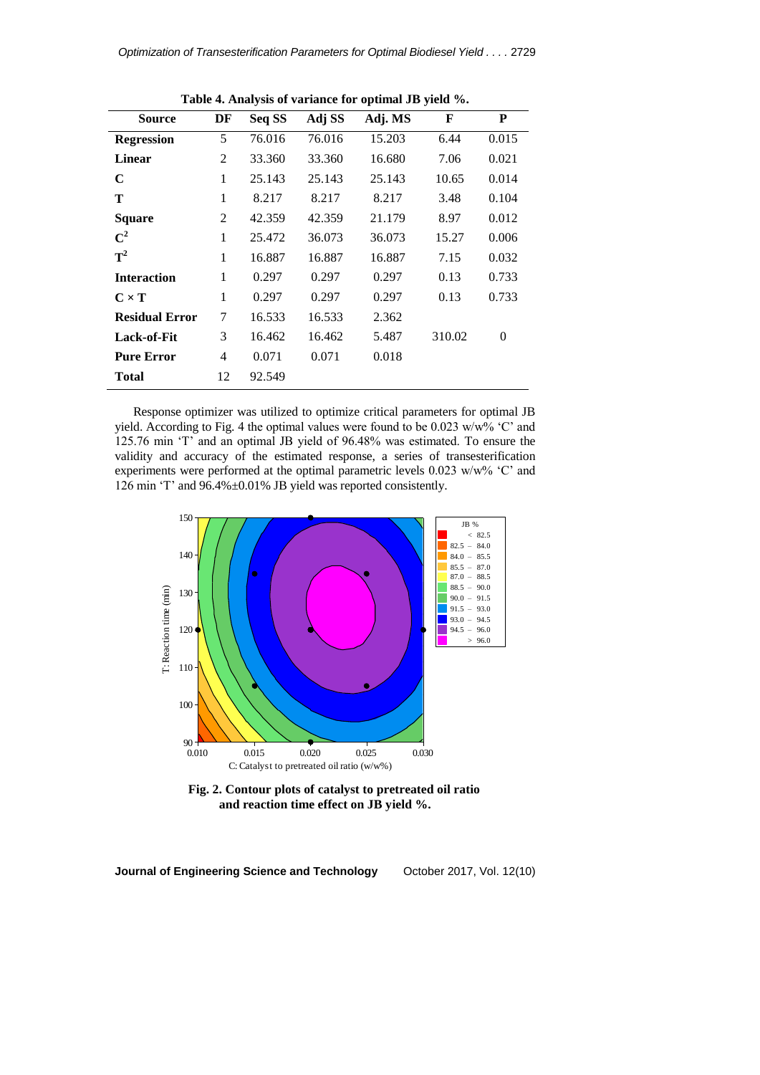| <b>rapic 4. Analysis of variance for optimal 3D yield</b> 70. |                |        |        |         |        |          |
|---------------------------------------------------------------|----------------|--------|--------|---------|--------|----------|
| <b>Source</b>                                                 | DF             | Seq SS | Adj SS | Adj. MS | F      | P        |
| <b>Regression</b>                                             | 5              | 76.016 | 76.016 | 15.203  | 6.44   | 0.015    |
| <b>Linear</b>                                                 | $\overline{2}$ | 33.360 | 33.360 | 16.680  | 7.06   | 0.021    |
| C                                                             | 1              | 25.143 | 25.143 | 25.143  | 10.65  | 0.014    |
| Т                                                             | 1              | 8.217  | 8.217  | 8.217   | 3.48   | 0.104    |
| <b>Square</b>                                                 | $\overline{2}$ | 42.359 | 42.359 | 21.179  | 8.97   | 0.012    |
| $\mathrm{C}^2$                                                | 1              | 25.472 | 36.073 | 36.073  | 15.27  | 0.006    |
| $T^2$                                                         | 1              | 16.887 | 16.887 | 16.887  | 7.15   | 0.032    |
| <b>Interaction</b>                                            | 1              | 0.297  | 0.297  | 0.297   | 0.13   | 0.733    |
| $C \times T$                                                  | 1              | 0.297  | 0.297  | 0.297   | 0.13   | 0.733    |
| <b>Residual Error</b>                                         | 7              | 16.533 | 16.533 | 2.362   |        |          |
| <b>Lack-of-Fit</b>                                            | 3              | 16.462 | 16.462 | 5.487   | 310.02 | $\theta$ |
| <b>Pure Error</b>                                             | 4              | 0.071  | 0.071  | 0.018   |        |          |
| Total                                                         | 12             | 92.549 |        |         |        |          |

**Table 4. Analysis of variance for optimal JB yield %.**

Response optimizer was utilized to optimize critical parameters for optimal JB yield. According to Fig. 4 the optimal values were found to be 0.023 w/w% 'C' and 125.76 min 'T' and an optimal JB yield of 96.48% was estimated. To ensure the validity and accuracy of the estimated response, a series of transesterification experiments were performed at the optimal parametric levels 0.023 w/w% 'C' and 126 min 'T' and 96.4%±0.01% JB yield was reported consistently.



**Fig. 2. Contour plots of catalyst to pretreated oil ratio and reaction time effect on JB yield %.**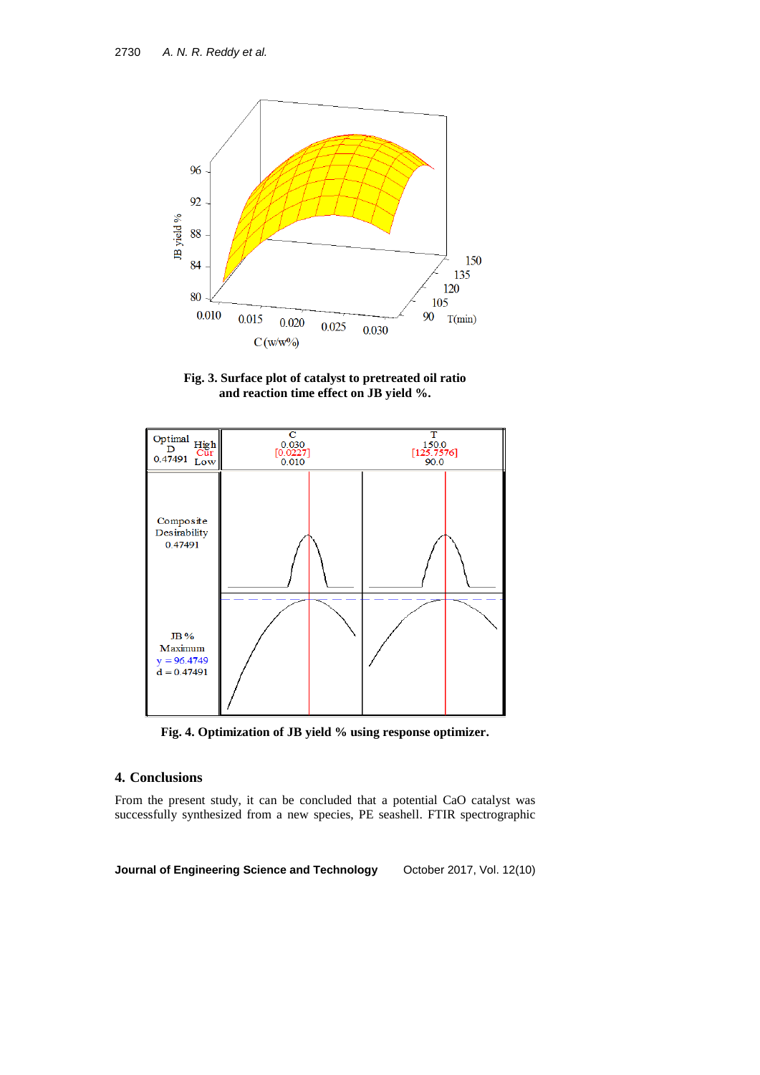

**Fig. 3. Surface plot of catalyst to pretreated oil ratio and reaction time effect on JB yield %.**



**Fig. 4. Optimization of JB yield % using response optimizer.**

## **4. Conclusions**

From the present study, it can be concluded that a potential CaO catalyst was successfully synthesized from a new species, PE seashell. FTIR spectrographic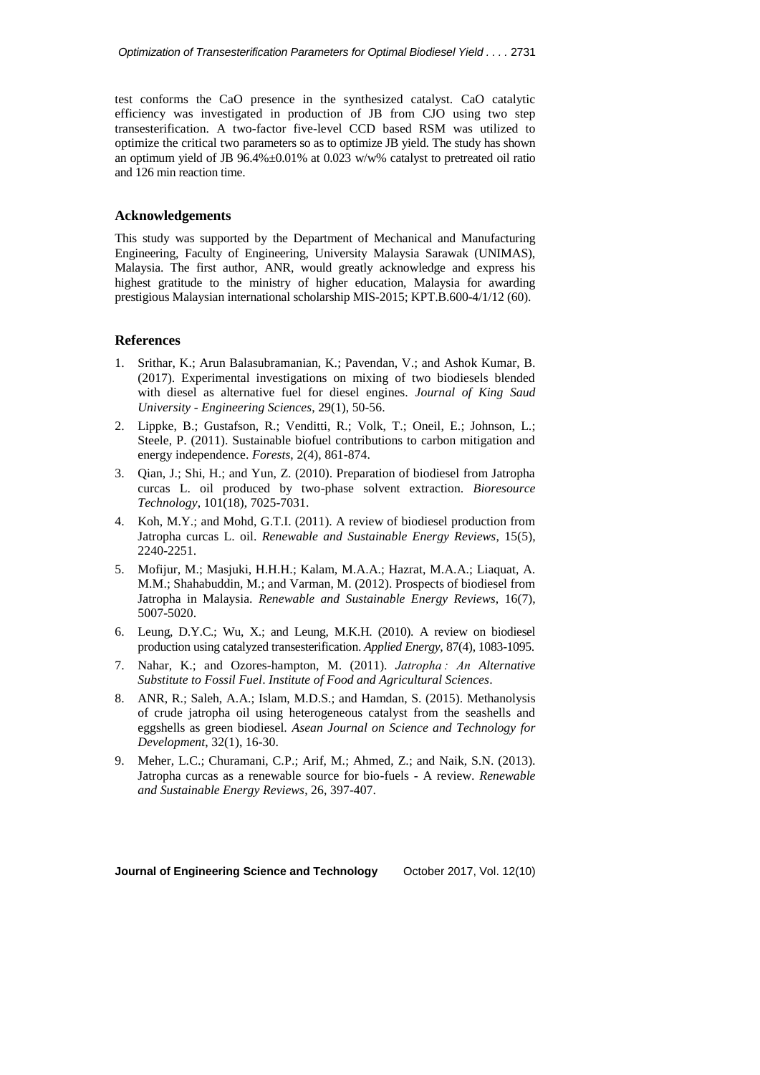test conforms the CaO presence in the synthesized catalyst. CaO catalytic efficiency was investigated in production of JB from CJO using two step transesterification. A two-factor five-level CCD based RSM was utilized to optimize the critical two parameters so as to optimize JB yield. The study has shown an optimum yield of JB 96.4%±0.01% at 0.023 w/w% catalyst to pretreated oil ratio and 126 min reaction time.

## **Acknowledgements**

This study was supported by the Department of Mechanical and Manufacturing Engineering, Faculty of Engineering, University Malaysia Sarawak (UNIMAS), Malaysia. The first author, ANR, would greatly acknowledge and express his highest gratitude to the ministry of higher education, Malaysia for awarding prestigious Malaysian international scholarship MIS-2015; KPT.B.600-4/1/12 (60).

## **References**

- 1. Srithar, K.; Arun Balasubramanian, K.; Pavendan, V.; and Ashok Kumar, B. (2017). Experimental investigations on mixing of two biodiesels blended with diesel as alternative fuel for diesel engines. *Journal of King Saud University - Engineering Sciences*, 29(1), 50-56.
- 2. Lippke, B.; Gustafson, R.; Venditti, R.; Volk, T.; Oneil, E.; Johnson, L.; Steele, P. (2011). Sustainable biofuel contributions to carbon mitigation and energy independence. *Forests*, 2(4), 861-874.
- 3. Qian, J.; Shi, H.; and Yun, Z. (2010). Preparation of biodiesel from Jatropha curcas L. oil produced by two-phase solvent extraction. *Bioresource Technology*, 101(18), 7025-7031.
- 4. Koh, M.Y.; and Mohd, G.T.I. (2011). A review of biodiesel production from Jatropha curcas L. oil. *Renewable and Sustainable Energy Reviews*, 15(5), 2240-2251.
- 5. Mofijur, M.; Masjuki, H.H.H.; Kalam, M.A.A.; Hazrat, M.A.A.; Liaquat, A. M.M.; Shahabuddin, M.; and Varman, M. (2012). Prospects of biodiesel from Jatropha in Malaysia. *Renewable and Sustainable Energy Reviews*, 16(7), 5007-5020.
- 6. Leung, D.Y.C.; Wu, X.; and Leung, M.K.H. (2010). A review on biodiesel production using catalyzed transesterification. *Applied Energy*, 87(4), 1083-1095.
- 7. Nahar, K.; and Ozores-hampton, M. (2011). *Jatropha : An Alternative Substitute to Fossil Fuel*. *Institute of Food and Agricultural Sciences*.
- 8. ANR, R.; Saleh, A.A.; Islam, M.D.S.; and Hamdan, S. (2015). Methanolysis of crude jatropha oil using heterogeneous catalyst from the seashells and eggshells as green biodiesel. *Asean Journal on Science and Technology for Development*, 32(1), 16-30.
- 9. Meher, L.C.; Churamani, C.P.; Arif, M.; Ahmed, Z.; and Naik, S.N. (2013). Jatropha curcas as a renewable source for bio-fuels - A review. *Renewable and Sustainable Energy Reviews*, 26, 397-407.